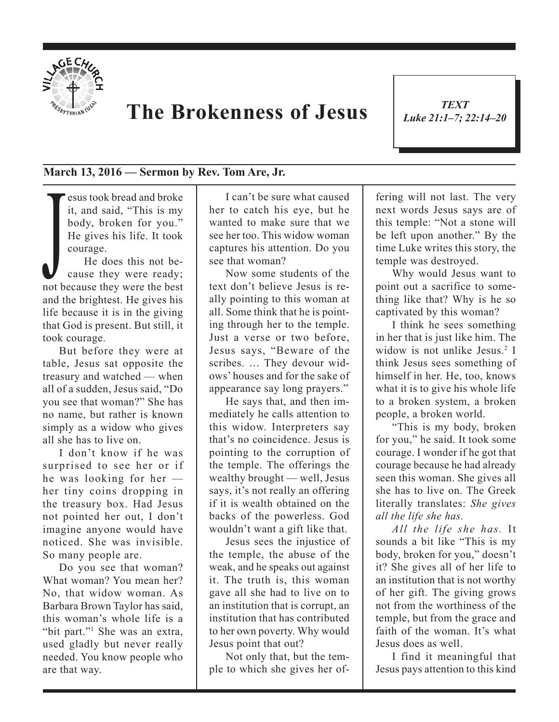

## **The Brokenness of Jesus**

*TEXT Luke 21:1–7; 22:14–20*

1

## **March 13, 2016 — Sermon by Rev. Tom Are, Jr.**

esus took bread and broke it, and said, "This is my body, broken for you." He gives his life. It took courage.

He gives his life. It took<br>courage.<br>He does this not be-<br>cause they were ready;<br>not because they were the best He does this not because they were ready; and the brightest. He gives his life because it is in the giving that God is present. But still, it took courage.

But before they were at table, Jesus sat opposite the treasury and watched — when all of a sudden, Jesus said, "Do you see that woman?" She has no name, but rather is known simply as a widow who gives all she has to live on.

I don't know if he was surprised to see her or if he was looking for her her tiny coins dropping in the treasury box. Had Jesus not pointed her out, I don't imagine anyone would have noticed. She was invisible. So many people are.

Do you see that woman? What woman? You mean her? No, that widow woman. As Barbara Brown Taylor has said, this woman's whole life is a "bit part."<sup>1</sup> She was an extra, used gladly but never really needed. You know people who are that way.

I can't be sure what caused her to catch his eye, but he wanted to make sure that we see her too. This widow woman captures his attention. Do you see that woman?

Now some students of the text don't believe Jesus is really pointing to this woman at all. Some think that he is pointing through her to the temple. Just a verse or two before, Jesus says, "Beware of the scribes. … They devour widows' houses and for the sake of appearance say long prayers."

He says that, and then immediately he calls attention to this widow. Interpreters say that's no coincidence. Jesus is pointing to the corruption of the temple. The offerings the wealthy brought — well, Jesus says, it's not really an offering if it is wealth obtained on the backs of the powerless. God wouldn't want a gift like that.

Jesus sees the injustice of the temple, the abuse of the weak, and he speaks out against it. The truth is, this woman gave all she had to live on to an institution that is corrupt, an institution that has contributed to her own poverty. Why would Jesus point that out?

Not only that, but the temple to which she gives her offering will not last. The very next words Jesus says are of this temple: "Not a stone will be left upon another." By the time Luke writes this story, the temple was destroyed.

Why would Jesus want to point out a sacrifice to something like that? Why is he so captivated by this woman?

I think he sees something in her that is just like him. The widow is not unlike Jesus.<sup>2</sup> I think Jesus sees something of himself in her. He, too, knows what it is to give his whole life to a broken system, a broken people, a broken world.

"This is my body, broken for you," he said. It took some courage. I wonder if he got that courage because he had already seen this woman. She gives all she has to live on. The Greek literally translates: *She gives all the life she has.* 

*All the life she has.* It sounds a bit like "This is my body, broken for you," doesn't it? She gives all of her life to an institution that is not worthy of her gift. The giving grows not from the worthiness of the temple, but from the grace and faith of the woman. It's what Jesus does as well.

I find it meaningful that Jesus pays attention to this kind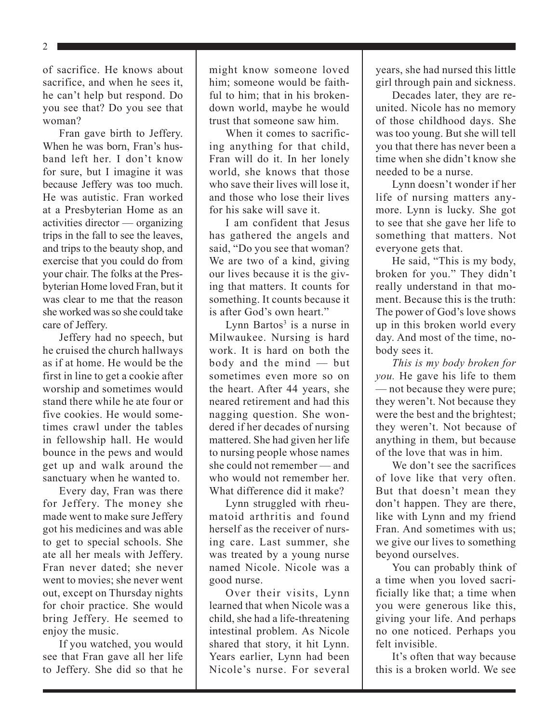2

of sacrifice. He knows about sacrifice, and when he sees it, he can't help but respond. Do you see that? Do you see that woman?

Fran gave birth to Jeffery. When he was born, Fran's husband left her. I don't know for sure, but I imagine it was because Jeffery was too much. He was autistic. Fran worked at a Presbyterian Home as an activities director — organizing trips in the fall to see the leaves, and trips to the beauty shop, and exercise that you could do from your chair. The folks at the Presbyterian Home loved Fran, but it was clear to me that the reason she worked was so she could take care of Jeffery.

Jeffery had no speech, but he cruised the church hallways as if at home. He would be the first in line to get a cookie after worship and sometimes would stand there while he ate four or five cookies. He would sometimes crawl under the tables in fellowship hall. He would bounce in the pews and would get up and walk around the sanctuary when he wanted to.

Every day, Fran was there for Jeffery. The money she made went to make sure Jeffery got his medicines and was able to get to special schools. She ate all her meals with Jeffery. Fran never dated; she never went to movies; she never went out, except on Thursday nights for choir practice. She would bring Jeffery. He seemed to enjoy the music.

If you watched, you would see that Fran gave all her life to Jeffery. She did so that he

might know someone loved him; someone would be faithful to him; that in his brokendown world, maybe he would trust that someone saw him.

When it comes to sacrificing anything for that child, Fran will do it. In her lonely world, she knows that those who save their lives will lose it, and those who lose their lives for his sake will save it.

I am confident that Jesus has gathered the angels and said, "Do you see that woman? We are two of a kind, giving our lives because it is the giving that matters. It counts for something. It counts because it is after God's own heart."

Lynn Bartos<sup>3</sup> is a nurse in Milwaukee. Nursing is hard work. It is hard on both the body and the mind — but sometimes even more so on the heart. After 44 years, she neared retirement and had this nagging question. She wondered if her decades of nursing mattered. She had given her life to nursing people whose names she could not remember — and who would not remember her. What difference did it make?

Lynn struggled with rheumatoid arthritis and found herself as the receiver of nursing care. Last summer, she was treated by a young nurse named Nicole. Nicole was a good nurse.

Over their visits, Lynn learned that when Nicole was a child, she had a life-threatening intestinal problem. As Nicole shared that story, it hit Lynn. Years earlier, Lynn had been Nicole's nurse. For several years, she had nursed this little girl through pain and sickness.

Decades later, they are reunited. Nicole has no memory of those childhood days. She was too young. But she will tell you that there has never been a time when she didn't know she needed to be a nurse.

Lynn doesn't wonder if her life of nursing matters anymore. Lynn is lucky. She got to see that she gave her life to something that matters. Not everyone gets that.

He said, "This is my body, broken for you." They didn't really understand in that moment. Because this is the truth: The power of God's love shows up in this broken world every day. And most of the time, nobody sees it.

*This is my body broken for you.* He gave his life to them — not because they were pure; they weren't. Not because they were the best and the brightest; they weren't. Not because of anything in them, but because of the love that was in him.

We don't see the sacrifices of love like that very often. But that doesn't mean they don't happen. They are there, like with Lynn and my friend Fran. And sometimes with us; we give our lives to something beyond ourselves.

You can probably think of a time when you loved sacrificially like that; a time when you were generous like this, giving your life. And perhaps no one noticed. Perhaps you felt invisible.

It's often that way because this is a broken world. We see